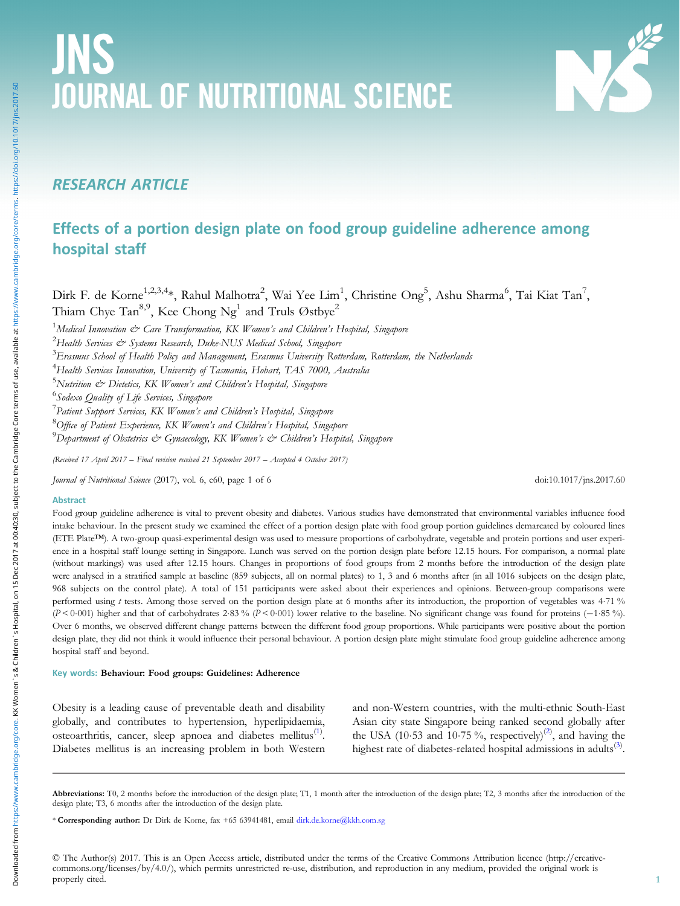# JNS JOURNAL OF NUTRITIONAL SCIENCE

# RESEARCH ARTICLE

# Effects of a portion design plate on food group guideline adherence among hospital staff

Dirk F. de Korne $^{1,2,3,4}$ \*, Rahul Malhotra $^2$ , Wai Yee Lim $^1$ , Christine Ong $^5$ , Ashu Sharma $^6$ , Tai Kiat Tan $^7$ , Thiam Chye Tan<sup>8,9</sup>, Kee Chong Ng<sup>1</sup> and Truls Østbye<sup>2</sup>

 $^1$ Medical Innovation & Care Transformation, KK Women's and Children's Hospital, Singapore

 $^2$ Health Services & Systems Research, Duke-NUS Medical School, Singapore

 $^3$ Erasmus School of Health Policy and Management, Erasmus University Rotterdam, Rotterdam, the Netherlands

 $^4$ Health Services Innovation, University of Tasmania, Hobart, TAS 7000, Australia

 $^5$ Nutrition & Dietetics, KK Women's and Children's Hospital, Singapore

<sup>6</sup>Sodexo Quality of Life Services, Singapore

 $^7$ Patient Support Services, KK Women's and Children's Hospital, Singapore

<sup>8</sup>Office of Patient Experience, KK Women's and Children's Hospital, Singapore

 $^9$ Department of Obstetrics & Gynaecology, KK Women's & Children's Hospital, Singapore

(Received 17 April 2017 – Final revision received 21 September 2017 – Accepted 4 October 2017)

Journal of Nutritional Science (2017), vol. 6, e60, page 1 of 6 doi:10.1017/jns.2017.60

#### Abstract

Food group guideline adherence is vital to prevent obesity and diabetes. Various studies have demonstrated that environmental variables influence food intake behaviour. In the present study we examined the effect of a portion design plate with food group portion guidelines demarcated by coloured lines (ETE Plate™). A two-group quasi-experimental design was used to measure proportions of carbohydrate, vegetable and protein portions and user experience in a hospital staff lounge setting in Singapore. Lunch was served on the portion design plate before 12.15 hours. For comparison, a normal plate (without markings) was used after 12.15 hours. Changes in proportions of food groups from 2 months before the introduction of the design plate were analysed in a stratified sample at baseline (859 subjects, all on normal plates) to 1, 3 and 6 months after (in all 1016 subjects on the design plate, 968 subjects on the control plate). A total of 151 participants were asked about their experiences and opinions. Between-group comparisons were performed using t tests. Among those served on the portion design plate at 6 months after its introduction, the proportion of vegetables was 4.71 % (<sup>P</sup> < 0·001) higher and that of carbohydrates 2·83 % (<sup>P</sup> < 0·001) lower relative to the baseline. No significant change was found for proteins (−1·85 %). Over 6 months, we observed different change patterns between the different food group proportions. While participants were positive about the portion design plate, they did not think it would influence their personal behaviour. A portion design plate might stimulate food group guideline adherence among hospital staff and beyond.

#### Key words: Behaviour: Food groups: Guidelines: Adherence

Obesity is a leading cause of preventable death and disability globally, and contributes to hypertension, hyperlipidaemia, osteoarthritis, cancer, sleep apnoea and diabetes mellitus<sup>([1](#page-5-0))</sup>. Diabetes mellitus is an increasing problem in both Western

and non-Western countries, with the multi-ethnic South-East Asian city state Singapore being ranked second globally after the USA (10.53 and 10.75%, respectively)<sup>[\(2\)](#page-5-0)</sup>, and having the highest rate of diabetes-related hospital admissions in adults<sup>([3](#page-5-0))</sup>.

Abbreviations: T0, 2 months before the introduction of the design plate; T1, 1 month after the introduction of the design plate; T2, 3 months after the introduction of the design plate; T3, 6 months after the introduction of the design plate.

\* Corresponding author: Dr Dirk de Korne, fax +65 63941481, email [dirk.de.korne@kkh.com.sg](mailto:dirk.de.korne@kkh.com.sg)

© The Author(s) 2017. This is an Open Access article, distributed under the terms of the Creative Commons Attribution licence (http://creativecommons.org/licenses/by/4.0/), which permits unrestricted re-use, distribution, and reproduction in any medium, provided the original work is properly cited.

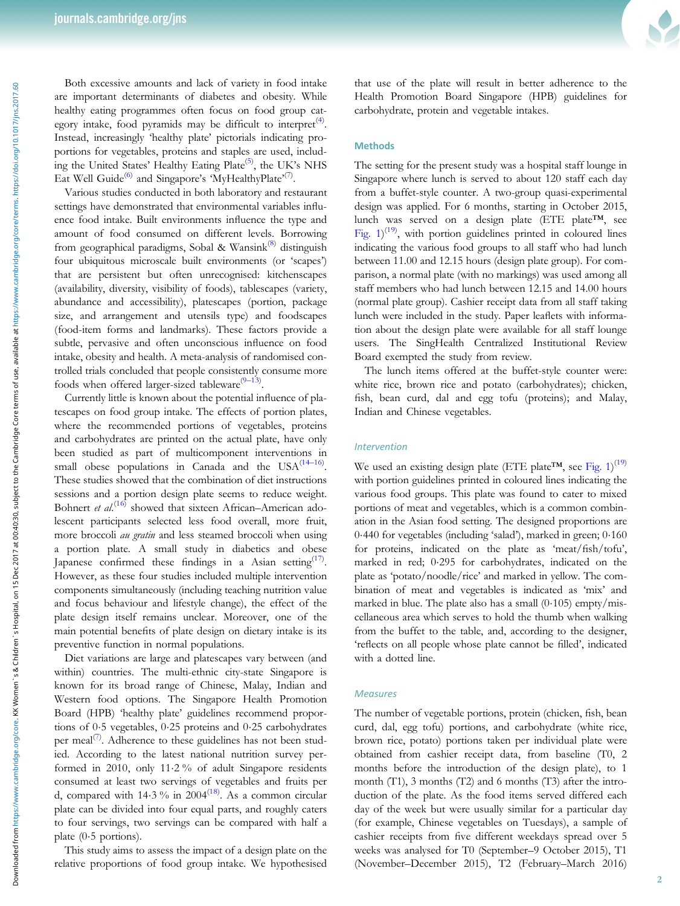Both excessive amounts and lack of variety in food intake are important determinants of diabetes and obesity. While healthy eating programmes often focus on food group cat-egory intake, food pyramids may be difficult to interpret<sup>([4](#page-5-0))</sup>. Instead, increasingly 'healthy plate' pictorials indicating proportions for vegetables, proteins and staples are used, includ-ing the United States' Healthy Eating Plate<sup>([5](#page-5-0))</sup>, the UK's NHS Eat Well Guide<sup>([6](#page-5-0))</sup> and Singapore's 'MyHealthyPlate'<sup>[\(7\)](#page-5-0)</sup>.

Various studies conducted in both laboratory and restaurant settings have demonstrated that environmental variables influence food intake. Built environments influence the type and amount of food consumed on different levels. Borrowing from geographical paradigms, Sobal & Wansink<sup>([8](#page-5-0))</sup> distinguish four ubiquitous microscale built environments (or 'scapes') that are persistent but often unrecognised: kitchenscapes (availability, diversity, visibility of foods), tablescapes (variety, abundance and accessibility), platescapes (portion, package size, and arrangement and utensils type) and foodscapes (food-item forms and landmarks). These factors provide a subtle, pervasive and often unconscious influence on food intake, obesity and health. A meta-analysis of randomised controlled trials concluded that people consistently consume more foods when offered larger-sized tableware<sup>([9](#page-5-0)-[13\)](#page-5-0)</sup>.

Currently little is known about the potential influence of platescapes on food group intake. The effects of portion plates, where the recommended portions of vegetables, proteins and carbohydrates are printed on the actual plate, have only been studied as part of multicomponent interventions in small obese populations in Canada and the  $USA^{(14-16)}$  $USA^{(14-16)}$  $USA^{(14-16)}$  $USA^{(14-16)}$  $USA^{(14-16)}$ . These studies showed that the combination of diet instructions sessions and a portion design plate seems to reduce weight. Bohnert et al.<sup>([16\)](#page-5-0)</sup> showed that sixteen African–American adolescent participants selected less food overall, more fruit, more broccoli au gratin and less steamed broccoli when using a portion plate. A small study in diabetics and obese Japanese confirmed these findings in a Asian setting  $(17)$  $(17)$ . However, as these four studies included multiple intervention components simultaneously (including teaching nutrition value and focus behaviour and lifestyle change), the effect of the plate design itself remains unclear. Moreover, one of the main potential benefits of plate design on dietary intake is its preventive function in normal populations.

Diet variations are large and platescapes vary between (and within) countries. The multi-ethnic city-state Singapore is known for its broad range of Chinese, Malay, Indian and Western food options. The Singapore Health Promotion Board (HPB) 'healthy plate' guidelines recommend proportions of 0·5 vegetables, 0·25 proteins and 0·25 carbohydrates per meal<sup>[\(7\)](#page-5-0)</sup>. Adherence to these guidelines has not been studied. According to the latest national nutrition survey performed in 2010, only 11·2 % of adult Singapore residents consumed at least two servings of vegetables and fruits per d, compared with  $14.3\%$  in  $2004^{(18)}$  $2004^{(18)}$  $2004^{(18)}$ . As a common circular plate can be divided into four equal parts, and roughly caters to four servings, two servings can be compared with half a plate (0·5 portions).

This study aims to assess the impact of a design plate on the relative proportions of food group intake. We hypothesised



that use of the plate will result in better adherence to the Health Promotion Board Singapore (HPB) guidelines for carbohydrate, protein and vegetable intakes.

## **Methods**

The setting for the present study was a hospital staff lounge in Singapore where lunch is served to about 120 staff each day from a buffet-style counter. A two-group quasi-experimental design was applied. For 6 months, starting in October 2015, lunch was served on a design plate (ETE plate™, see Fig.  $1)^{(19)}$  $1)^{(19)}$  $1)^{(19)}$ , with portion guidelines printed in coloured lines indicating the various food groups to all staff who had lunch between 11.00 and 12.15 hours (design plate group). For comparison, a normal plate (with no markings) was used among all staff members who had lunch between 12.15 and 14.00 hours (normal plate group). Cashier receipt data from all staff taking lunch were included in the study. Paper leaflets with information about the design plate were available for all staff lounge users. The SingHealth Centralized Institutional Review Board exempted the study from review.

The lunch items offered at the buffet-style counter were: white rice, brown rice and potato (carbohydrates); chicken, fish, bean curd, dal and egg tofu (proteins); and Malay, Indian and Chinese vegetables.

#### Intervention

We used an existing design plate (ETE plate<sup>TM</sup>, see [Fig. 1](#page-2-0))<sup>[\(19](#page-5-0))</sup> with portion guidelines printed in coloured lines indicating the various food groups. This plate was found to cater to mixed portions of meat and vegetables, which is a common combination in the Asian food setting. The designed proportions are 0·440 for vegetables (including 'salad'), marked in green; 0·160 for proteins, indicated on the plate as 'meat/fish/tofu', marked in red; 0·295 for carbohydrates, indicated on the plate as 'potato/noodle/rice' and marked in yellow. The combination of meat and vegetables is indicated as 'mix' and marked in blue. The plate also has a small  $(0.105)$  empty/miscellaneous area which serves to hold the thumb when walking from the buffet to the table, and, according to the designer, 'reflects on all people whose plate cannot be filled', indicated with a dotted line.

#### **Measures**

The number of vegetable portions, protein (chicken, fish, bean curd, dal, egg tofu) portions, and carbohydrate (white rice, brown rice, potato) portions taken per individual plate were obtained from cashier receipt data, from baseline (T0, 2 months before the introduction of the design plate), to 1 month (T1), 3 months (T2) and 6 months (T3) after the introduction of the plate. As the food items served differed each day of the week but were usually similar for a particular day (for example, Chinese vegetables on Tuesdays), a sample of cashier receipts from five different weekdays spread over 5 weeks was analysed for T0 (September–9 October 2015), T1 (November–December 2015), T2 (February–March 2016)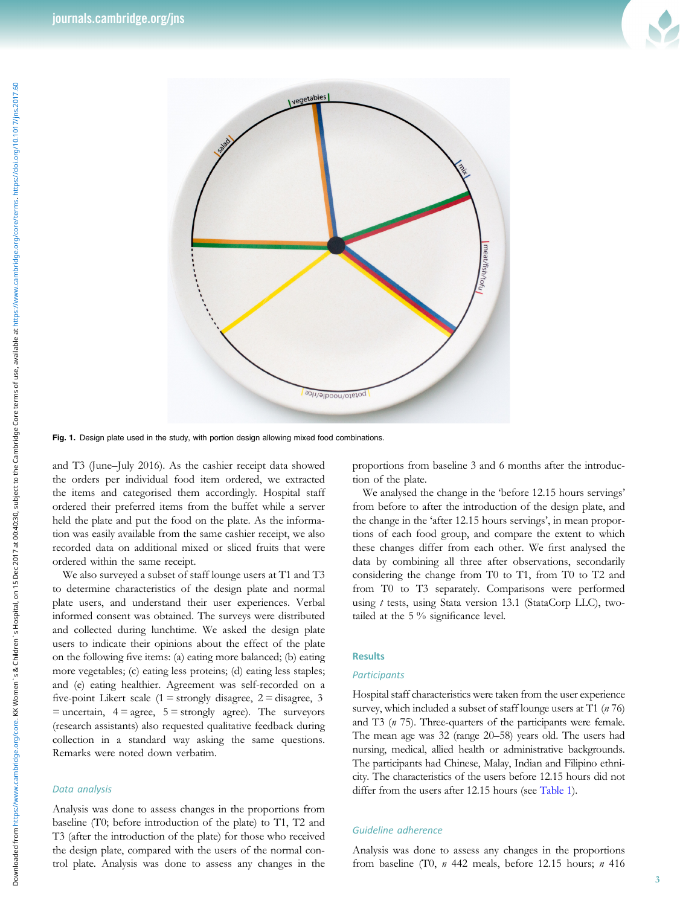

<span id="page-2-0"></span>

Fig. 1. Design plate used in the study, with portion design allowing mixed food combinations.

and T3 (June–July 2016). As the cashier receipt data showed the orders per individual food item ordered, we extracted the items and categorised them accordingly. Hospital staff ordered their preferred items from the buffet while a server held the plate and put the food on the plate. As the information was easily available from the same cashier receipt, we also recorded data on additional mixed or sliced fruits that were ordered within the same receipt.

We also surveyed a subset of staff lounge users at T1 and T3 to determine characteristics of the design plate and normal plate users, and understand their user experiences. Verbal informed consent was obtained. The surveys were distributed and collected during lunchtime. We asked the design plate users to indicate their opinions about the effect of the plate on the following five items: (a) eating more balanced; (b) eating more vegetables; (c) eating less proteins; (d) eating less staples; and (e) eating healthier. Agreement was self-recorded on a five-point Likert scale  $(1 =$  strongly disagree,  $2 =$  disagree, 3  $=$  uncertain,  $4 =$  agree,  $5 =$  strongly agree). The surveyors (research assistants) also requested qualitative feedback during collection in a standard way asking the same questions. Remarks were noted down verbatim.

### Data analysis

Analysis was done to assess changes in the proportions from baseline (T0; before introduction of the plate) to T1, T2 and T3 (after the introduction of the plate) for those who received the design plate, compared with the users of the normal control plate. Analysis was done to assess any changes in the proportions from baseline 3 and 6 months after the introduction of the plate.

We analysed the change in the 'before 12.15 hours servings' from before to after the introduction of the design plate, and the change in the 'after 12.15 hours servings', in mean proportions of each food group, and compare the extent to which these changes differ from each other. We first analysed the data by combining all three after observations, secondarily considering the change from T0 to T1, from T0 to T2 and from T0 to T3 separately. Comparisons were performed using t tests, using Stata version 13.1 (StataCorp LLC), twotailed at the 5 % significance level.

## Results

#### **Participants**

Hospital staff characteristics were taken from the user experience survey, which included a subset of staff lounge users at T1  $(n 76)$ and T3 (n 75). Three-quarters of the participants were female. The mean age was 32 (range 20–58) years old. The users had nursing, medical, allied health or administrative backgrounds. The participants had Chinese, Malay, Indian and Filipino ethnicity. The characteristics of the users before 12.15 hours did not differ from the users after 12.15 hours (see [Table 1](#page-3-0)).

#### Guideline adherence

Analysis was done to assess any changes in the proportions from baseline (T0,  $n$  442 meals, before 12.15 hours;  $n$  416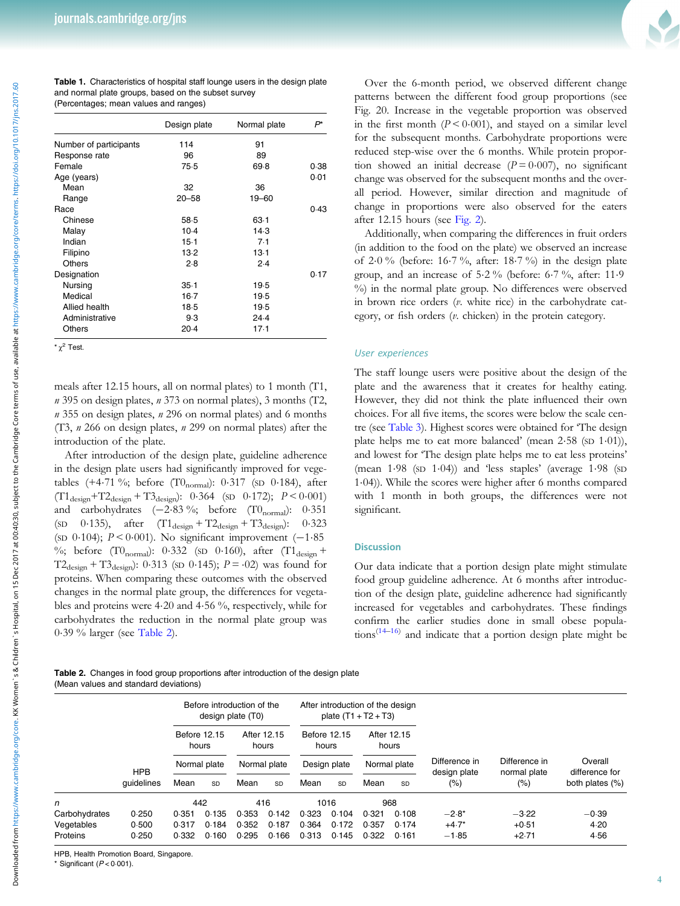Table 1. Characteristics of hospital staff lounge users in the design plate and normal plate groups, based on the subset survey (Percentages; mean values and ranges)

|                        | Design plate | Normal plate | P*   |
|------------------------|--------------|--------------|------|
| Number of participants | 114          | 91           |      |
| Response rate          | 96           | 89           |      |
| Female                 | 75.5         | 69.8         | 0.38 |
| Age (years)            |              |              | 0.01 |
| Mean                   | 32           | 36           |      |
| Range                  | $20 - 58$    | 19-60        |      |
| Race                   |              |              | 0.43 |
| Chinese                | 58.5         | 63.1         |      |
| Malay                  | 10.4         | 14.3         |      |
| Indian                 | $15-1$       | 7.1          |      |
| Filipino               | 13.2         | $13-1$       |      |
| Others                 | 2.8          | 2.4          |      |
| Designation            |              |              | 0.17 |
| Nursing                | 35.1         | 19.5         |      |
| Medical                | $16-7$       | 19.5         |      |
| Allied health          | 18.5         | 19.5         |      |
| Administrative         | 9.3          | 24.4         |      |
| Others                 | 20.4         | 17.1         |      |
|                        |              |              |      |

 $x^2$  Test

meals after 12.15 hours, all on normal plates) to 1 month (T1,  $n$  395 on design plates,  $n$  373 on normal plates), 3 months (T2,  $n$  355 on design plates,  $n$  296 on normal plates) and 6 months (T3, n 266 on design plates, n 299 on normal plates) after the introduction of the plate.

After introduction of the design plate, guideline adherence in the design plate users had significantly improved for vegetables (+4.71 %; before (T0<sub>normal</sub>):  $0.317$  (SD  $0.184$ ), after  $(T1_{\text{design}}+T2_{\text{design}}+T3_{\text{design}}): 0.364$  (SD 0.172);  $P < 0.001$ ) and carbohydrates  $(-2.83\%; \text{ before } (T0_{\text{normal}}): 0.351)$ (sp  $0.135$ ), after  $(T1_{\text{design}} + T2_{\text{design}} + T3_{\text{design}})$ : 0.323 (SD <sup>0</sup>·104); <sup>P</sup> < 0·001). No significant improvement (−1·<sup>85</sup> %; before (T $0_{normal}$ ): 0.332 (SD 0.160), after (T $1_{design}$  +  $T2_{\text{design}} + T3_{\text{design}})$ : 0.313 (sp 0.145);  $P = 0.02$ ) was found for proteins. When comparing these outcomes with the observed changes in the normal plate group, the differences for vegetables and proteins were 4·20 and 4·56 %, respectively, while for carbohydrates the reduction in the normal plate group was 0·39 % larger (see Table 2).

Over the 6-month period, we observed different change patterns between the different food group proportions (see Fig. 20. Increase in the vegetable proportion was observed in the first month  $(P < 0.001)$ , and stayed on a similar level for the subsequent months. Carbohydrate proportions were reduced step-wise over the 6 months. While protein proportion showed an initial decrease  $(P = 0.007)$ , no significant change was observed for the subsequent months and the overall period. However, similar direction and magnitude of change in proportions were also observed for the eaters after 12.15 hours (see [Fig. 2](#page-4-0)).

Additionally, when comparing the differences in fruit orders (in addition to the food on the plate) we observed an increase of 2·0 % (before: 16·7 %, after: 18·7 %) in the design plate group, and an increase of 5·2 % (before: 6·7 %, after: 11·9 %) in the normal plate group. No differences were observed in brown rice orders (v. white rice) in the carbohydrate category, or fish orders (v. chicken) in the protein category.

### User experiences

The staff lounge users were positive about the design of the plate and the awareness that it creates for healthy eating. However, they did not think the plate influenced their own choices. For all five items, the scores were below the scale centre (see [Table 3](#page-4-0)). Highest scores were obtained for 'The design plate helps me to eat more balanced' (mean 2.58 (SD 1.01)), and lowest for 'The design plate helps me to eat less proteins' (mean 1·98 (SD 1·04)) and 'less staples' (average 1·98 (SD 1·04)). While the scores were higher after 6 months compared with 1 month in both groups, the differences were not significant.

#### **Discussion**

Our data indicate that a portion design plate might stimulate food group guideline adherence. At 6 months after introduction of the design plate, guideline adherence had significantly increased for vegetables and carbohydrates. These findings confirm the earlier studies done in small obese populations<sup> $(14-16)$  $(14-16)$  $(14-16)$  $(14-16)$ </sup> and indicate that a portion design plate might be

Table 2. Changes in food group proportions after introduction of the design plate (Mean values and standard deviations)

|                             |                          |                                       |                |                                      | Before introduction of the<br>design plate (T0) |                                       | After introduction of the design<br>plate $(T1 + T2 + T3)$ |                                      |                |                               |                               |                           |
|-----------------------------|--------------------------|---------------------------------------|----------------|--------------------------------------|-------------------------------------------------|---------------------------------------|------------------------------------------------------------|--------------------------------------|----------------|-------------------------------|-------------------------------|---------------------------|
|                             | <b>HPB</b><br>quidelines | Before 12.15<br>hours<br>Normal plate |                | After 12.15<br>hours<br>Normal plate |                                                 | Before 12.15<br>hours<br>Design plate |                                                            | After 12.15<br>hours<br>Normal plate |                | Difference in<br>design plate | Difference in<br>normal plate | Overall<br>difference for |
|                             |                          |                                       |                |                                      |                                                 |                                       |                                                            |                                      |                |                               |                               |                           |
|                             |                          | Mean                                  | <b>SD</b>      | Mean                                 | SD                                              | Mean                                  | <b>SD</b>                                                  | Mean                                 | SD             | (% )                          | (%)                           | both plates (%)           |
| n                           |                          | 442                                   |                | 416                                  |                                                 | 1016                                  |                                                            | 968                                  |                |                               |                               |                           |
| Carbohydrates<br>Vegetables | 0.250<br>0.500           | 0.351<br>0.317                        | 0.135<br>0.184 | 0.353<br>0.352                       | 0.142<br>0.187                                  | 0.323<br>0.364                        | 0.104<br>0.172                                             | 0.321<br>0.357                       | 0.108<br>0.174 | $-2.8*$<br>$+4.7*$            | $-3.22$<br>$+0.51$            | $-0.39$<br>4.20           |
| Proteins                    | 0.250                    | 0.332                                 | 0.160          | 0.295                                | 0.166                                           | 0.313                                 | 0.145                                                      | 0.322                                | 0.161          | $-1.85$                       | $+2.71$                       | 4.56                      |
|                             |                          |                                       |                |                                      |                                                 |                                       |                                                            |                                      |                |                               |                               |                           |

HPB, Health Promotion Board, Singapore.

Significant ( $P < 0.001$ ).

<span id="page-3-0"></span>Downloaded from https://www.cambridge.org/core. KK Women`s & Children`s Hospital, on 15 Dec 2017 at 00:40:30, subject to the Cambridge Core terms of use, available at https://www.cambridge.org/core/terms. https://doi.org/ Downloaded from https://www.cambridge.org/core. KK Women`s & Children`s Hospital, on 15 Dec 2017 at 00:4130, subject to the Cambridge Core terms of use, available at https://www.cambridge.org/10:1017/jns.2017.60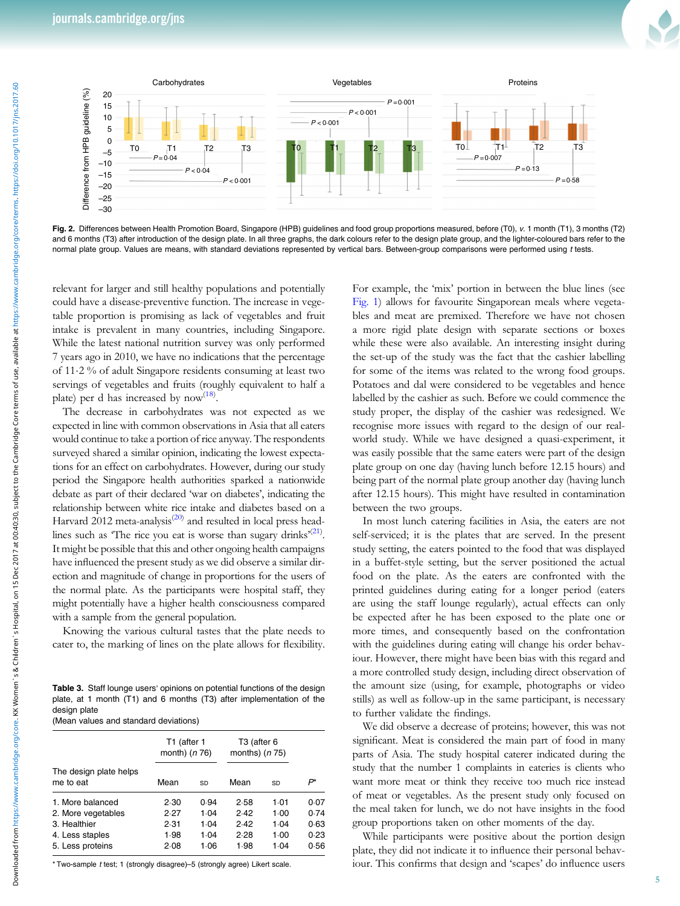<span id="page-4-0"></span>

Fig. 2. Differences between Health Promotion Board, Singapore (HPB) guidelines and food group proportions measured, before (T0), <sup>v</sup>. 1 month (T1), 3 months (T2) and 6 months (T3) after introduction of the design plate. In all three graphs, the dark colours refer to the design plate group, and the lighter-coloured bars refer to the normal plate group. Values are means, with standard deviations represented by vertical bars. Between-group comparisons were performed using t tests.

relevant for larger and still healthy populations and potentially could have a disease-preventive function. The increase in vegetable proportion is promising as lack of vegetables and fruit intake is prevalent in many countries, including Singapore. While the latest national nutrition survey was only performed 7 years ago in 2010, we have no indications that the percentage of 11·2 % of adult Singapore residents consuming at least two servings of vegetables and fruits (roughly equivalent to half a plate) per d has increased by now<sup>([18\)](#page-5-0)</sup>.

The decrease in carbohydrates was not expected as we expected in line with common observations in Asia that all eaters would continue to take a portion of rice anyway. The respondents surveyed shared a similar opinion, indicating the lowest expectations for an effect on carbohydrates. However, during our study period the Singapore health authorities sparked a nationwide debate as part of their declared 'war on diabetes', indicating the relationship between white rice intake and diabetes based on a Harvard 2012 meta-analysis<sup>[\(20](#page-5-0))</sup> and resulted in local press headlines such as 'The rice you eat is worse than sugary drinks<sup> $(21)$  $(21)$ </sup>. It might be possible that this and other ongoing health campaigns have influenced the present study as we did observe a similar direction and magnitude of change in proportions for the users of the normal plate. As the participants were hospital staff, they might potentially have a higher health consciousness compared with a sample from the general population.

Knowing the various cultural tastes that the plate needs to cater to, the marking of lines on the plate allows for flexibility.

Table 3. Staff lounge users' opinions on potential functions of the design plate, at 1 month (T1) and 6 months (T3) after implementation of the design plate (Mean values and standard deviations)

|                                     | T1 (after 1<br>month) ( <i>n</i> 76) |      | T <sub>3</sub> (after 6<br>months) $(n 75)$ |      |      |
|-------------------------------------|--------------------------------------|------|---------------------------------------------|------|------|
| The design plate helps<br>me to eat | Mean                                 | SD   | Mean                                        | SD   | P*   |
| 1. More balanced                    | 2.30                                 | 0.94 | 2.58                                        | 1.01 | 0.07 |
| 2. More vegetables                  | 2.27                                 | 1.04 | 2.42                                        | 1.00 | 0.74 |
| 3. Healthier                        | 2.31                                 | 1.04 | 2.42                                        | 1.04 | 0.63 |
| 4. Less staples                     | 1.98                                 | 1.04 | 2.28                                        | 1.00 | 0.23 |
| 5. Less proteins                    | 2.08                                 | 1.06 | 1.98                                        | 1.04 | 0.56 |

\* Two-sample t test; 1 (strongly disagree)–5 (strongly agree) Likert scale.

For example, the 'mix' portion in between the blue lines (see [Fig. 1\)](#page-2-0) allows for favourite Singaporean meals where vegetables and meat are premixed. Therefore we have not chosen a more rigid plate design with separate sections or boxes while these were also available. An interesting insight during the set-up of the study was the fact that the cashier labelling for some of the items was related to the wrong food groups. Potatoes and dal were considered to be vegetables and hence labelled by the cashier as such. Before we could commence the study proper, the display of the cashier was redesigned. We recognise more issues with regard to the design of our realworld study. While we have designed a quasi-experiment, it was easily possible that the same eaters were part of the design plate group on one day (having lunch before 12.15 hours) and being part of the normal plate group another day (having lunch after 12.15 hours). This might have resulted in contamination between the two groups.

In most lunch catering facilities in Asia, the eaters are not self-serviced; it is the plates that are served. In the present study setting, the eaters pointed to the food that was displayed in a buffet-style setting, but the server positioned the actual food on the plate. As the eaters are confronted with the printed guidelines during eating for a longer period (eaters are using the staff lounge regularly), actual effects can only be expected after he has been exposed to the plate one or more times, and consequently based on the confrontation with the guidelines during eating will change his order behaviour. However, there might have been bias with this regard and a more controlled study design, including direct observation of the amount size (using, for example, photographs or video stills) as well as follow-up in the same participant, is necessary to further validate the findings.

We did observe a decrease of proteins; however, this was not significant. Meat is considered the main part of food in many parts of Asia. The study hospital caterer indicated during the study that the number 1 complaints in eateries is clients who want more meat or think they receive too much rice instead of meat or vegetables. As the present study only focused on the meal taken for lunch, we do not have insights in the food group proportions taken on other moments of the day.

While participants were positive about the portion design plate, they did not indicate it to influence their personal behaviour. This confirms that design and 'scapes' do influence users